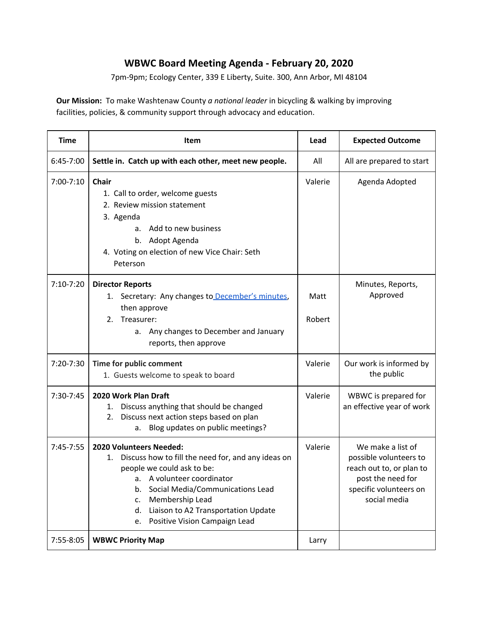## **WBWC Board Meeting Agenda - February 20, 2020**

7pm-9pm; Ecology Center, 339 E Liberty, Suite. 300, Ann Arbor, MI 48104

**Our Mission:** To make Washtenaw County *a national leader* in bicycling & walking by improving facilities, policies, & community support through advocacy and education.

| <b>Time</b>   | Item                                                                                                                                                                                                                                                                                                | Lead           | <b>Expected Outcome</b>                                                                                                                |
|---------------|-----------------------------------------------------------------------------------------------------------------------------------------------------------------------------------------------------------------------------------------------------------------------------------------------------|----------------|----------------------------------------------------------------------------------------------------------------------------------------|
| 6:45-7:00     | Settle in. Catch up with each other, meet new people.                                                                                                                                                                                                                                               | All            | All are prepared to start                                                                                                              |
| 7:00-7:10     | <b>Chair</b><br>1. Call to order, welcome guests<br>2. Review mission statement<br>3. Agenda<br>Add to new business<br>a.<br>b. Adopt Agenda<br>4. Voting on election of new Vice Chair: Seth<br>Peterson                                                                                           | Valerie        | Agenda Adopted                                                                                                                         |
| $7:10-7:20$   | <b>Director Reports</b><br>Secretary: Any changes to December's minutes,<br>1.<br>then approve<br>2.<br>Treasurer:<br>Any changes to December and January<br>а.<br>reports, then approve                                                                                                            | Matt<br>Robert | Minutes, Reports,<br>Approved                                                                                                          |
| 7:20-7:30     | Time for public comment<br>1. Guests welcome to speak to board                                                                                                                                                                                                                                      | Valerie        | Our work is informed by<br>the public                                                                                                  |
| 7:30-7:45     | 2020 Work Plan Draft<br>Discuss anything that should be changed<br>1.<br>Discuss next action steps based on plan<br>2.<br>Blog updates on public meetings?<br>a.                                                                                                                                    | Valerie        | WBWC is prepared for<br>an effective year of work                                                                                      |
| $7:45 - 7:55$ | 2020 Volunteers Needed:<br>Discuss how to fill the need for, and any ideas on<br>1.<br>people we could ask to be:<br>a. A volunteer coordinator<br>b. Social Media/Communications Lead<br>Membership Lead<br>c.<br>Liaison to A2 Transportation Update<br>d.<br>Positive Vision Campaign Lead<br>e. | Valerie        | We make a list of<br>possible volunteers to<br>reach out to, or plan to<br>post the need for<br>specific volunteers on<br>social media |
| 7:55-8:05     | <b>WBWC Priority Map</b>                                                                                                                                                                                                                                                                            | Larry          |                                                                                                                                        |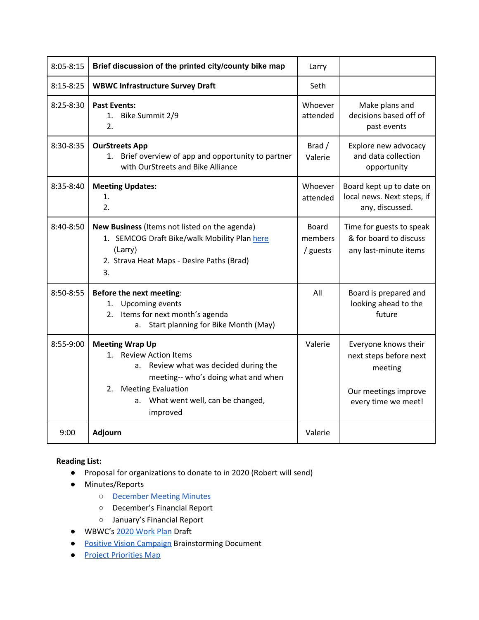| $8:05 - 8:15$ | Brief discussion of the printed city/county bike map                                                                                                                                                                  | Larry                        |                                                                                                          |
|---------------|-----------------------------------------------------------------------------------------------------------------------------------------------------------------------------------------------------------------------|------------------------------|----------------------------------------------------------------------------------------------------------|
| $8:15 - 8:25$ | <b>WBWC Infrastructure Survey Draft</b>                                                                                                                                                                               | Seth                         |                                                                                                          |
| $8:25 - 8:30$ | <b>Past Events:</b><br>Bike Summit 2/9<br>1.<br>2.                                                                                                                                                                    | Whoever<br>attended          | Make plans and<br>decisions based off of<br>past events                                                  |
| 8:30-8:35     | <b>OurStreets App</b><br>Brief overview of app and opportunity to partner<br>1.<br>with OurStreets and Bike Alliance                                                                                                  | Brad /<br>Valerie            | Explore new advocacy<br>and data collection<br>opportunity                                               |
| 8:35-8:40     | <b>Meeting Updates:</b><br>1.<br>2.                                                                                                                                                                                   | Whoever<br>attended          | Board kept up to date on<br>local news. Next steps, if<br>any, discussed.                                |
| 8:40-8:50     | New Business (Items not listed on the agenda)<br>1. SEMCOG Draft Bike/walk Mobility Plan here<br>(Larry)<br>2. Strava Heat Maps - Desire Paths (Brad)<br>3.                                                           | Board<br>members<br>/ guests | Time for guests to speak<br>& for board to discuss<br>any last-minute items                              |
| 8:50-8:55     | Before the next meeting:<br><b>Upcoming events</b><br>1.<br>Items for next month's agenda<br>2.<br>a. Start planning for Bike Month (May)                                                                             | All                          | Board is prepared and<br>looking ahead to the<br>future                                                  |
| 8:55-9:00     | <b>Meeting Wrap Up</b><br>1. Review Action Items<br>a. Review what was decided during the<br>meeting-- who's doing what and when<br><b>Meeting Evaluation</b><br>2.<br>a. What went well, can be changed,<br>improved | Valerie                      | Everyone knows their<br>next steps before next<br>meeting<br>Our meetings improve<br>every time we meet! |
| 9:00          | Adjourn                                                                                                                                                                                                               | Valerie                      |                                                                                                          |

## **Reading List:**

- Proposal for organizations to donate to in 2020 (Robert will send)
- Minutes/Reports
	- [December](https://docs.google.com/document/d/1WdrjPGuM6j1_p-stDbwAeTvaiTfJUiBjhj3N3nWwqk4/edit?usp=sharing) Meeting Minutes
	- December's Financial Report
	- January's Financial Report
- WBWC's 2020 [Work](https://docs.google.com/document/d/1SS06L30x9Os1HZ1ZKAQb2osk5bu02ffZlSHQPSk_Sg8/edit?usp=sharing) Plan Draft
- **Positive Vision [Campaign](https://docs.google.com/document/d/13j4pbgUo3bi_-QivGSESn5jGO21t8yEjQScEAa0qvvI/edit?usp=sharing) Brainstorming Document**
- Project [Priorities](https://www.wbwc.org/interactive-map) Map